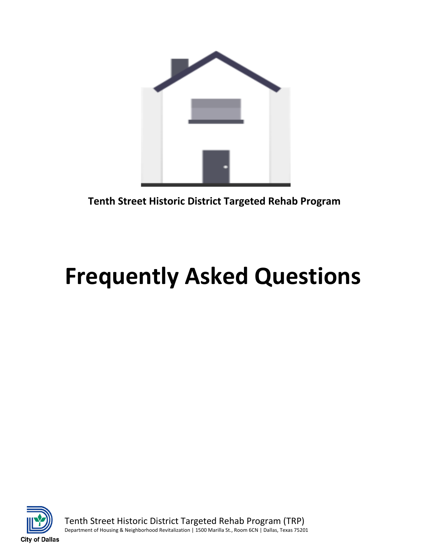

**Tenth Street Historic District Targeted Rehab Program**

# **Frequently Asked Questions**



Tenth Street Historic District Targeted Rehab Program (TRP) Department of Housing & Neighborhood Revitalization | 1500 Marilla St., Room 6CN | Dallas, Texas 75201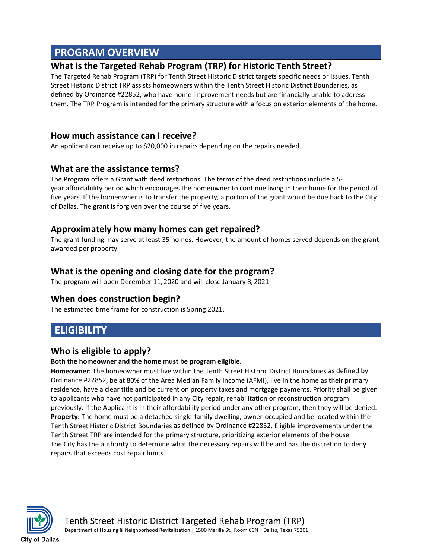# **PROGRAM OVERVIEW**

## **What is the Targeted Rehab Program (TRP) for Historic Tenth Street?**

The Targeted Rehab Program (TRP) for Tenth Street Historic District targets specific needs or issues. Tenth Street Historic District TRP assists homeowners within the Tenth Street Historic District Boundaries, as defined by Ordinance #22852, who have home improvement needs but are financially unable to address them. The TRP Program is intended for the primary structure with a focus on exterior elements of the home.

## **How much assistance can I receive?**

An applicant can receive up to \$20,000 in repairs depending on the repairs needed.

## **What are the assistance terms?**

The Program offers a Grant with deed restrictions. The terms of the deed restrictions include a 5 year affordability period which encourages the homeowner to continue living in their home for the period of five years. If the homeowner is to transfer the property, a portion of the grant would be due back to the City of Dallas. The grant is forgiven over the course of five years.

### **Approximately how many homes can get repaired?**

The grant funding may serve at least 35 homes. However, the amount of homes served depends on the grant awarded per property.

## **What is the opening and closing date for the program?**

The program will open December 11, 2020 and will close January 8, 2021

## **When does construction begin?**

The estimated time frame for construction is Spring 2021.

# **ELIGIBILITY**

## **Who is eligible to apply?**

#### **Both the homeowner and the home must be program eligible.**

**Homeowner:** The homeowner must live within the Tenth Street Historic District Boundaries as defined by Ordinance #22852, be at 80% of the Area Median Family Income (AFMI), live in the home as their primary residence, have a clear title and be current on property taxes and mortgage payments. Priority shall be given to applicants who have not participated in any City repair, rehabilitation or reconstruction program previously. If the Applicant is in their affordability period under any other program, then they will be denied. **Property:** The home must be a detached single-family dwelling, owner-occupied and be located within the Tenth Street Historic District Boundaries as defined by Ordinance #22852**.** Eligible improvements under the Tenth Street TRP are intended for the primary structure, prioritizing exterior elements of the house. The City has the authority to determine what the necessary repairs will be and has the discretion to deny repairs that exceeds cost repair limits.



Tenth Street Historic District Targeted Rehab Program (TRP)

Department of Housing & Neighborhood Revitalization | 1500 Marilla St., Room 6CN | Dallas, Texas 75201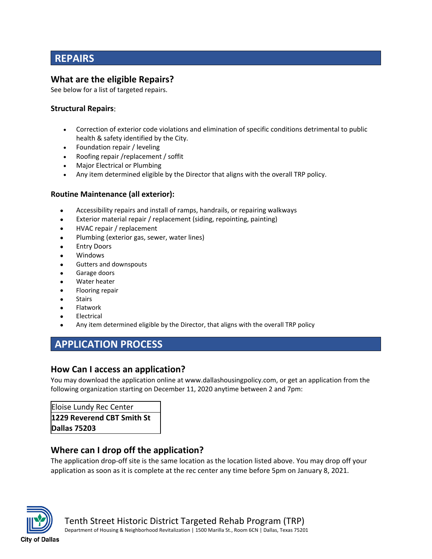# **REPAIRS**

## **What are the eligible Repairs?**

See below for a list of targeted repairs.

#### **Structural Repairs**:

- Correction of exterior code violations and elimination of specific conditions detrimental to public health & safety identified by the City.
- Foundation repair / leveling
- Roofing repair /replacement / soffit
- Major Electrical or Plumbing
- Any item determined eligible by the Director that aligns with the overall TRP policy.

#### **Routine Maintenance (all exterior):**

- Accessibility repairs and install of ramps, handrails, or repairing walkways
- Exterior material repair / replacement (siding, repointing, painting)
- HVAC repair / replacement
- Plumbing (exterior gas, sewer, water lines)
- **Entry Doors**
- Windows
- Gutters and downspouts
- Garage doors
- Water heater
- Flooring repair
- **Stairs**
- Flatwork
- **Electrical**
- Any item determined eligible by the Director, that aligns with the overall TRP policy

# **APPLICATION PROCESS**

## **How Can I access an application?**

You may download the application online at www.dallashousingpolicy.com, or get an application from the following organization starting on December 11, 2020 anytime between 2 and 7pm:

Eloise Lundy Rec Center **1229 Reverend CBT Smith St Dallas 75203**

## **Where can I drop off the application?**

The application drop-off site is the same location as the location listed above. You may drop off your application as soon as it is complete at the rec center any time before 5pm on January 8, 2021.



Tenth Street Historic District Targeted Rehab Program (TRP)

Department of Housing & Neighborhood Revitalization | 1500 Marilla St., Room 6CN | Dallas, Texas 75201